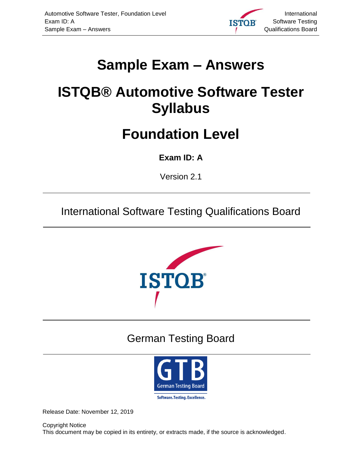<span id="page-0-8"></span><span id="page-0-7"></span>

# <span id="page-0-5"></span><span id="page-0-0"></span>**Sample Exam – Answers**

# <span id="page-0-6"></span><span id="page-0-1"></span>**ISTQB® Automotive Software Tester Syllabus**

## **Foundation Level**

#### <span id="page-0-2"></span>**Exam ID: A**

<span id="page-0-3"></span>Version 2.1

International Software Testing Qualifications Board



## <span id="page-0-9"></span>German Testing Board



<span id="page-0-4"></span>Release Date: November 12, 2019

Copyright Notice This document may be copied in its entirety, or extracts made, if the source is acknowledged.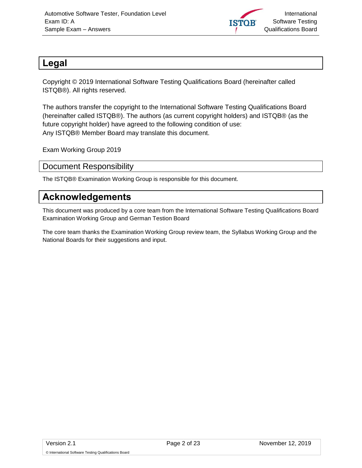

#### <span id="page-1-0"></span>**Legal**

Copyright © 2019 International Software Testing Qualifications Board (hereinafter called ISTQB®). All rights reserved.

The authors transfer the copyright to the International Software Testing Qualifications Board (hereinafter called ISTQB®). The authors (as current copyright holders) and ISTQB® (as the future copyright holder) have agreed to the following condition of use: Any ISTQB® Member Board may translate this document.

Exam Working Group 2019

<span id="page-1-1"></span>Document Responsibility

The ISTQB® Examination Working Group is responsible for this document.

#### <span id="page-1-2"></span>**Acknowledgements**

This document was produced by a core team from the International Software Testing Qualifications Board Examination Working Group and German Testion Board

The core team thanks the Examination Working Group review team, the Syllabus Working Group and the National Boards for their suggestions and input.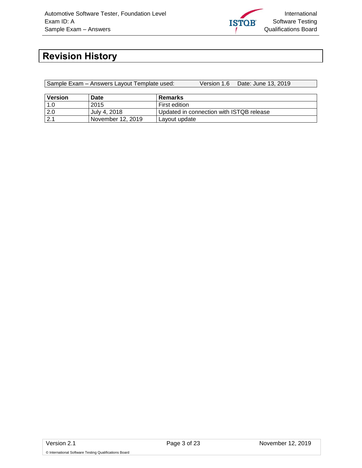

### <span id="page-2-0"></span>**Revision History**

Sample Exam – Answers Layout Template used: Version 1.6 Date: June 13, 2019

| Version | Date              | Remarks                                  |
|---------|-------------------|------------------------------------------|
|         | 2015              | First edition                            |
| 2.0     | July 4, 2018      | Updated in connection with ISTQB release |
| 21      | November 12, 2019 | Layout update                            |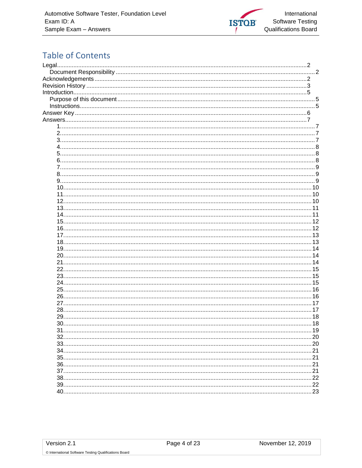

### **Table of Contents**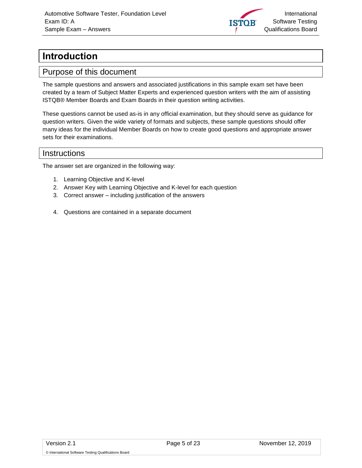

### <span id="page-4-0"></span>**Introduction**

#### <span id="page-4-1"></span>Purpose of this document

The sample questions and answers and associated justifications in this sample exam set have been created by a team of Subject Matter Experts and experienced question writers with the aim of assisting ISTQB® Member Boards and Exam Boards in their question writing activities.

These questions cannot be used as-is in any official examination, but they should serve as guidance for question writers. Given the wide variety of formats and subjects, these sample questions should offer many ideas for the individual Member Boards on how to create good questions and appropriate answer sets for their examinations.

#### <span id="page-4-2"></span>**Instructions**

The answer set are organized in the following way:

- 1. Learning Objective and K-level
- 2. Answer Key with Learning Objective and K-level for each question
- 3. Correct answer including justification of the answers
- 4. Questions are contained in a separate document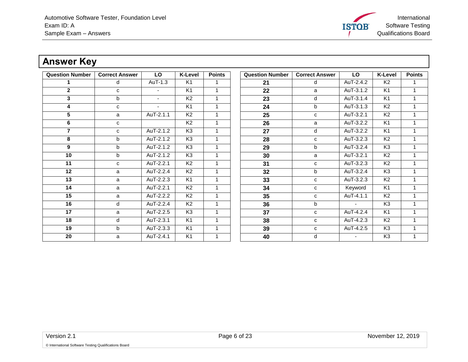International Software Testing **ISTOB** Qualifications Board

### **Answer Key**

<span id="page-5-0"></span>

| <b>Question Number</b> | <b>Correct Answer</b> | LO                       | <b>K-Level</b> | <b>Points</b> | <b>Question Number</b> | <b>Correct Answer</b> | <b>LO</b>              | <b>K-Level</b> | <b>Points</b> |
|------------------------|-----------------------|--------------------------|----------------|---------------|------------------------|-----------------------|------------------------|----------------|---------------|
|                        | d                     | AuT-1.3                  | K1             |               | 21                     | d                     | AuT-2.4.2              | K <sub>2</sub> |               |
| $\overline{2}$         | $\mathbf{C}$          | $\overline{\phantom{a}}$ | K <sub>1</sub> |               | 22                     | a                     | AuT-3.1.2              | K <sub>1</sub> | 1             |
| 3                      | b                     | $\sim$                   | K <sub>2</sub> |               | 23                     | d                     | AuT-3.1.4              | K <sub>1</sub> |               |
| 4                      | $\mathbf{C}$          | $\blacksquare$           | K <sub>1</sub> |               | 24                     | b                     | AuT-3.1.3              | K <sub>2</sub> |               |
| 5                      | a                     | AuT-2.1.1                | K <sub>2</sub> |               | 25                     | C                     | AuT-3.2.1              | K <sub>2</sub> |               |
| 6                      | C                     |                          | K <sub>2</sub> |               | 26                     | a                     | AuT-3.2.2              | K <sub>1</sub> |               |
| $\overline{7}$         | C                     | AuT-2.1.2                | K <sub>3</sub> | 1             | 27                     | d                     | AuT-3.2.2              | K <sub>1</sub> | 1             |
| 8                      | $\mathsf{b}$          | AuT-2.1.2                | K3             |               | 28                     | C                     | $\overline{AuT-3.2.3}$ | K <sub>2</sub> |               |
| 9                      | b                     | AuT-2.1.2                | K <sub>3</sub> |               | 29                     | b                     | AuT-3.2.4              | K <sub>3</sub> | 1             |
| $\overline{10}$        | b                     | AuT-2.1.2                | K3             |               | 30                     | a                     | AuT-3.2.1              | K <sub>2</sub> |               |
| 11                     | C                     | AuT-2.2.1                | K <sub>2</sub> | 1             | 31                     | C                     | AuT-3.2.3              | K <sub>2</sub> | 1             |
| 12                     | a                     | AuT-2.2.4                | K <sub>2</sub> |               | 32                     | b                     | AuT-3.2.4              | K <sub>3</sub> |               |
| 13                     | a                     | AuT-2.2.3                | K <sub>1</sub> |               | 33                     | c                     | AuT-3.2.3              | K <sub>2</sub> | 1             |
| 14                     | a                     | AuT-2.2.1                | K <sub>2</sub> |               | 34                     | с                     | Keyword                | K <sub>1</sub> |               |
| $\overline{15}$        | a                     | AuT-2.2.2                | K <sub>2</sub> |               | 35                     | C                     | AuT-4.1.1              | K <sub>2</sub> |               |
| 16                     | d                     | AuT-2.2.4                | K <sub>2</sub> |               | 36                     | b                     | $\sim$                 | K <sub>3</sub> |               |
| 17                     | a                     | AuT-2.2.5                | K <sub>3</sub> | 1             | 37                     | C                     | AuT-4.2.4              | K <sub>1</sub> | 1             |
| 18                     | d                     | AuT-2.3.1                | K <sub>1</sub> |               | 38                     | C                     | AuT-4.2.3              | K <sub>2</sub> | 1             |
| 19                     | $\mathbf b$           | AuT-2.3.3                | K1             |               | 39                     | C                     | AuT-4.2.5              | K <sub>3</sub> |               |
| 20                     | a                     | AuT-2.4.1                | K <sub>1</sub> |               | 40                     | d                     |                        | K <sub>3</sub> |               |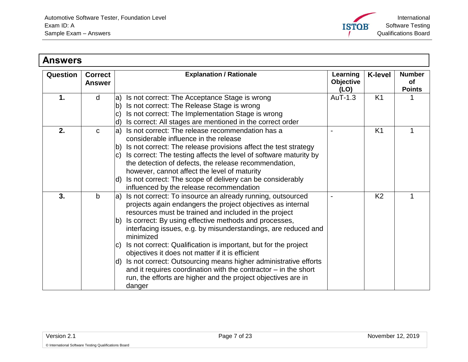

<span id="page-6-3"></span><span id="page-6-2"></span><span id="page-6-1"></span><span id="page-6-0"></span>

| <b>Answers</b> |                                 |                                                                                                                                                                                                                                                                                                                                                                                                                                                                                                                                                                                                                                                                                                           |                                      |                |                                      |
|----------------|---------------------------------|-----------------------------------------------------------------------------------------------------------------------------------------------------------------------------------------------------------------------------------------------------------------------------------------------------------------------------------------------------------------------------------------------------------------------------------------------------------------------------------------------------------------------------------------------------------------------------------------------------------------------------------------------------------------------------------------------------------|--------------------------------------|----------------|--------------------------------------|
| Question       | <b>Correct</b><br><b>Answer</b> | <b>Explanation / Rationale</b>                                                                                                                                                                                                                                                                                                                                                                                                                                                                                                                                                                                                                                                                            | Learning<br><b>Objective</b><br>(LO) | <b>K-level</b> | <b>Number</b><br>of<br><b>Points</b> |
| 1.             | d                               | Is not correct: The Acceptance Stage is wrong<br>la)<br>Is not correct: The Release Stage is wrong<br>lb)<br>Is not correct: The Implementation Stage is wrong<br>$\mathbf{C}$<br>Is correct: All stages are mentioned in the correct order<br>d)                                                                                                                                                                                                                                                                                                                                                                                                                                                         | AuT-1.3                              | K <sub>1</sub> |                                      |
| 2.             | $\mathbf{C}$                    | Is not correct: The release recommendation has a<br>la)<br>considerable influence in the release<br>Is not correct: The release provisions affect the test strategy<br>Ib)<br>Is correct: The testing affects the level of software maturity by<br>IC)<br>the detection of defects, the release recommendation,<br>however, cannot affect the level of maturity<br>Is not correct: The scope of delivery can be considerably<br>$\mathsf{d}$<br>influenced by the release recommendation                                                                                                                                                                                                                  |                                      | K <sub>1</sub> |                                      |
| 3.             | $\mathsf{b}$                    | Is not correct: To insource an already running, outsourced<br>la)<br>projects again endangers the project objectives as internal<br>resources must be trained and included in the project<br>Is correct: By using effective methods and processes,<br>Ib)<br>interfacing issues, e.g. by misunderstandings, are reduced and<br>minimized<br>Is not correct: Qualification is important, but for the project<br>IC)<br>objectives it does not matter if it is efficient<br>Is not correct: Outsourcing means higher administrative efforts<br>$\mathsf{d}$<br>and it requires coordination with the contractor $-$ in the short<br>run, the efforts are higher and the project objectives are in<br>danger |                                      | K <sub>2</sub> | 1                                    |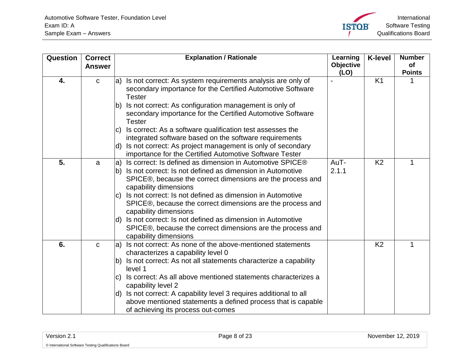<span id="page-7-2"></span><span id="page-7-1"></span><span id="page-7-0"></span>

| Question | <b>Correct</b> |              | <b>Explanation / Rationale</b>                                                                                                                                        | Learning         | <b>K-level</b> | <b>Number</b> |
|----------|----------------|--------------|-----------------------------------------------------------------------------------------------------------------------------------------------------------------------|------------------|----------------|---------------|
|          | <b>Answer</b>  |              |                                                                                                                                                                       | <b>Objective</b> |                | of            |
| 4.       | $\mathbf C$    | la)          | Is not correct: As system requirements analysis are only of<br>secondary importance for the Certified Automotive Software                                             | (LO)             | K <sub>1</sub> | <b>Points</b> |
|          |                |              | <b>Tester</b>                                                                                                                                                         |                  |                |               |
|          |                | $ b\rangle$  | Is not correct: As configuration management is only of<br>secondary importance for the Certified Automotive Software<br><b>Tester</b>                                 |                  |                |               |
|          |                | IC)          | Is correct: As a software qualification test assesses the<br>integrated software based on the software requirements                                                   |                  |                |               |
|          |                |              | d) Is not correct: As project management is only of secondary<br>importance for the Certified Automotive Software Tester                                              |                  |                |               |
| 5.       | a              | la)          | Is correct: Is defined as dimension in Automotive SPICE®                                                                                                              | AuT-             | K <sub>2</sub> | 1             |
|          |                |              | b) Is not correct: Is not defined as dimension in Automotive<br>SPICE®, because the correct dimensions are the process and<br>capability dimensions                   | 2.1.1            |                |               |
|          |                | C)           | Is not correct: Is not defined as dimension in Automotive<br>SPICE®, because the correct dimensions are the process and<br>capability dimensions                      |                  |                |               |
|          |                |              | d) Is not correct: Is not defined as dimension in Automotive<br>SPICE®, because the correct dimensions are the process and<br>capability dimensions                   |                  |                |               |
| 6.       | $\mathbf C$    | la)          | Is not correct: As none of the above-mentioned statements<br>characterizes a capability level 0                                                                       |                  | K <sub>2</sub> | 1             |
|          |                |              | b) Is not correct: As not all statements characterize a capability<br>level 1                                                                                         |                  |                |               |
|          |                | IC)          | Is correct: As all above mentioned statements characterizes a<br>capability level 2                                                                                   |                  |                |               |
|          |                | $\mathsf{d}$ | Is not correct: A capability level 3 requires additional to all<br>above mentioned statements a defined process that is capable<br>of achieving its process out-comes |                  |                |               |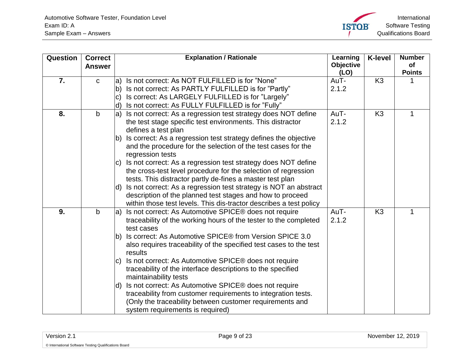<span id="page-8-2"></span><span id="page-8-1"></span><span id="page-8-0"></span>

| Question | <b>Correct</b> | <b>Explanation / Rationale</b>                                                    | Learning          | <b>K-level</b> | <b>Number</b>       |
|----------|----------------|-----------------------------------------------------------------------------------|-------------------|----------------|---------------------|
|          | <b>Answer</b>  |                                                                                   | Objective<br>(LO) |                | of<br><b>Points</b> |
| 7.       | $\mathbf C$    | Is not correct: As NOT FULFILLED is for "None"<br>la)                             | AuT-              | K <sub>3</sub> |                     |
|          |                | Is not correct: As PARTLY FULFILLED is for "Partly"<br>lb)                        | 2.1.2             |                |                     |
|          |                | Is correct: As LARGELY FULFILLED is for "Largely"<br>$\mathbf{C}$                 |                   |                |                     |
|          |                | Is not correct: As FULLY FULFILLED is for "Fully"<br>ld)                          |                   |                |                     |
| 8.       | $\mathbf b$    | Is not correct: As a regression test strategy does NOT define<br>la)              | AuT-              | K <sub>3</sub> | 1                   |
|          |                | the test stage specific test environments. This distractor<br>defines a test plan | 2.1.2             |                |                     |
|          |                | Is correct: As a regression test strategy defines the objective<br>lb)            |                   |                |                     |
|          |                | and the procedure for the selection of the test cases for the<br>regression tests |                   |                |                     |
|          |                | Is not correct: As a regression test strategy does NOT define<br>IC)              |                   |                |                     |
|          |                | the cross-test level procedure for the selection of regression                    |                   |                |                     |
|          |                | tests. This distractor partly de-fines a master test plan                         |                   |                |                     |
|          |                | Is not correct: As a regression test strategy is NOT an abstract<br>ld)           |                   |                |                     |
|          |                | description of the planned test stages and how to proceed                         |                   |                |                     |
|          |                | within those test levels. This dis-tractor describes a test policy                |                   |                |                     |
| 9.       | $\mathbf b$    | Is not correct: As Automotive SPICE® does not require<br>la)                      | AuT-              | K <sub>3</sub> | 1                   |
|          |                | traceability of the working hours of the tester to the completed                  | 2.1.2             |                |                     |
|          |                | test cases                                                                        |                   |                |                     |
|          |                | Is correct: As Automotive SPICE® from Version SPICE 3.0<br>lb)                    |                   |                |                     |
|          |                | also requires traceability of the specified test cases to the test<br>results     |                   |                |                     |
|          |                | Is not correct: As Automotive SPICE® does not require<br>$ {\rm c})$              |                   |                |                     |
|          |                | traceability of the interface descriptions to the specified                       |                   |                |                     |
|          |                | maintainability tests                                                             |                   |                |                     |
|          |                | Is not correct: As Automotive SPICE® does not require<br>ld)                      |                   |                |                     |
|          |                | traceability from customer requirements to integration tests.                     |                   |                |                     |
|          |                | (Only the traceability between customer requirements and                          |                   |                |                     |
|          |                | system requirements is required)                                                  |                   |                |                     |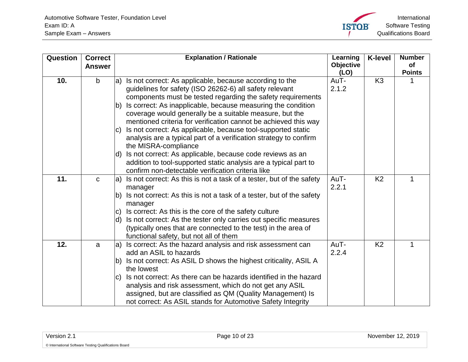<span id="page-9-2"></span><span id="page-9-1"></span><span id="page-9-0"></span>

| Question | <b>Correct</b><br><b>Answer</b> | <b>Explanation / Rationale</b>                                                                                                                                                                                                                                                                                                                                                                                                                                                                                                                                    | Learning<br>Objective | <b>K-level</b> | <b>Number</b><br><b>of</b> |
|----------|---------------------------------|-------------------------------------------------------------------------------------------------------------------------------------------------------------------------------------------------------------------------------------------------------------------------------------------------------------------------------------------------------------------------------------------------------------------------------------------------------------------------------------------------------------------------------------------------------------------|-----------------------|----------------|----------------------------|
| 10.      | $\mathsf{b}$                    | Is not correct: As applicable, because according to the<br>la)<br>guidelines for safety (ISO 26262-6) all safety relevant<br>components must be tested regarding the safety requirements<br>Is correct: As inapplicable, because measuring the condition<br>lb)<br>coverage would generally be a suitable measure, but the<br>mentioned criteria for verification cannot be achieved this way<br>Is not correct: As applicable, because tool-supported static<br>IC)<br>analysis are a typical part of a verification strategy to confirm<br>the MISRA-compliance | (LO)<br>AuT-<br>2.1.2 | K <sub>3</sub> | <b>Points</b>              |
|          |                                 | Is not correct: As applicable, because code reviews as an<br>ld)<br>addition to tool-supported static analysis are a typical part to<br>confirm non-detectable verification criteria like                                                                                                                                                                                                                                                                                                                                                                         |                       |                |                            |
| 11.      | $\mathbf C$                     | Is not correct: As this is not a task of a tester, but of the safety<br>la)<br>manager<br>Is not correct: As this is not a task of a tester, but of the safety<br>lb)<br>manager<br>Is correct: As this is the core of the safety culture<br>IC)<br>Is not correct: As the tester only carries out specific measures<br>ld)<br>(typically ones that are connected to the test) in the area of<br>functional safety, but not all of them                                                                                                                           | AuT-<br>2.2.1         | K <sub>2</sub> | 1                          |
| 12.      | a                               | Is correct: As the hazard analysis and risk assessment can<br>la)<br>add an ASIL to hazards<br>b) Is not correct: As ASIL D shows the highest criticality, ASIL A<br>the lowest<br>Is not correct: As there can be hazards identified in the hazard<br>IC)<br>analysis and risk assessment, which do not get any ASIL<br>assigned, but are classified as QM (Quality Management) Is<br>not correct: As ASIL stands for Automotive Safety Integrity                                                                                                                | AuT-<br>2.2.4         | K <sub>2</sub> | 1                          |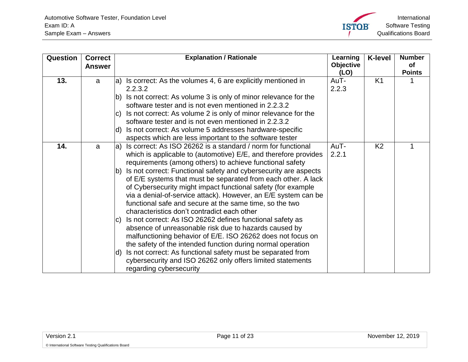

<span id="page-10-1"></span><span id="page-10-0"></span>

| Question | <b>Correct</b><br><b>Answer</b> | <b>Explanation / Rationale</b>                                                                                                                                                                                                                                                                                                                                                                                                                                                                                                                                                                  | Learning<br><b>Objective</b> | <b>K-level</b> | <b>Number</b><br>οf<br><b>Points</b> |
|----------|---------------------------------|-------------------------------------------------------------------------------------------------------------------------------------------------------------------------------------------------------------------------------------------------------------------------------------------------------------------------------------------------------------------------------------------------------------------------------------------------------------------------------------------------------------------------------------------------------------------------------------------------|------------------------------|----------------|--------------------------------------|
| 13.      | a                               | $ a\rangle$ Is correct: As the volumes 4, 6 are explicitly mentioned in                                                                                                                                                                                                                                                                                                                                                                                                                                                                                                                         | (LO)<br>AuT-                 | K <sub>1</sub> |                                      |
|          |                                 | 2.2.3.2<br>Is not correct: As volume 3 is only of minor relevance for the<br>Ib)<br>software tester and is not even mentioned in 2.2.3.2                                                                                                                                                                                                                                                                                                                                                                                                                                                        | 2.2.3                        |                |                                      |
|          |                                 | Is not correct: As volume 2 is only of minor relevance for the<br>IC)<br>software tester and is not even mentioned in 2.2.3.2                                                                                                                                                                                                                                                                                                                                                                                                                                                                   |                              |                |                                      |
|          |                                 | Is not correct: As volume 5 addresses hardware-specific<br>ld)<br>aspects which are less important to the software tester                                                                                                                                                                                                                                                                                                                                                                                                                                                                       |                              |                |                                      |
| 14.      | a                               | Is correct: As ISO 26262 is a standard / norm for functional<br>la)<br>which is applicable to (automotive) E/E, and therefore provides<br>requirements (among others) to achieve functional safety                                                                                                                                                                                                                                                                                                                                                                                              | AuT-<br>2.2.1                | K <sub>2</sub> |                                      |
|          |                                 | Is not correct: Functional safety and cybersecurity are aspects<br>$ b\rangle$<br>of E/E systems that must be separated from each other. A lack<br>of Cybersecurity might impact functional safety (for example<br>via a denial-of-service attack). However, an E/E system can be<br>functional safe and secure at the same time, so the two<br>characteristics don't contradict each other<br>Is not correct: As ISO 26262 defines functional safety as<br>$ C\rangle$<br>absence of unreasonable risk due to hazards caused by<br>malfunctioning behavior of E/E. ISO 26262 does not focus on |                              |                |                                      |
|          |                                 | the safety of the intended function during normal operation<br>Is not correct: As functional safety must be separated from<br>ld)<br>cybersecurity and ISO 26262 only offers limited statements<br>regarding cybersecurity                                                                                                                                                                                                                                                                                                                                                                      |                              |                |                                      |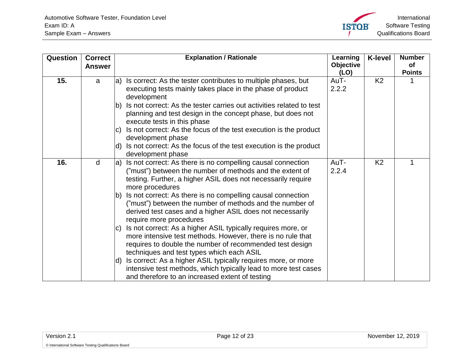<span id="page-11-1"></span><span id="page-11-0"></span>

| Question | <b>Correct</b><br><b>Answer</b> |     | <b>Explanation / Rationale</b>                                                                                                                                                                                                       | Learning<br><b>Objective</b><br>(LO) | <b>K-level</b> | <b>Number</b><br><b>of</b><br><b>Points</b> |
|----------|---------------------------------|-----|--------------------------------------------------------------------------------------------------------------------------------------------------------------------------------------------------------------------------------------|--------------------------------------|----------------|---------------------------------------------|
| 15.      | a                               | la) | Is correct: As the tester contributes to multiple phases, but<br>executing tests mainly takes place in the phase of product<br>development                                                                                           | AuT-<br>2.2.2                        | K <sub>2</sub> |                                             |
|          |                                 | lb) | Is not correct: As the tester carries out activities related to test<br>planning and test design in the concept phase, but does not<br>execute tests in this phase                                                                   |                                      |                |                                             |
|          |                                 | lc) | Is not correct: As the focus of the test execution is the product<br>development phase                                                                                                                                               |                                      |                |                                             |
|          |                                 | ld) | Is not correct: As the focus of the test execution is the product<br>development phase                                                                                                                                               |                                      |                |                                             |
| 16.      | d                               | la) | Is not correct: As there is no compelling causal connection<br>("must") between the number of methods and the extent of<br>testing. Further, a higher ASIL does not necessarily require<br>more procedures                           | AuT-<br>2.2.4                        | K <sub>2</sub> |                                             |
|          |                                 | lb) | Is not correct: As there is no compelling causal connection<br>("must") between the number of methods and the number of<br>derived test cases and a higher ASIL does not necessarily<br>require more procedures                      |                                      |                |                                             |
|          |                                 | IC) | Is not correct: As a higher ASIL typically requires more, or<br>more intensive test methods. However, there is no rule that<br>requires to double the number of recommended test design<br>techniques and test types which each ASIL |                                      |                |                                             |
|          |                                 | ld) | Is correct: As a higher ASIL typically requires more, or more<br>intensive test methods, which typically lead to more test cases<br>and therefore to an increased extent of testing                                                  |                                      |                |                                             |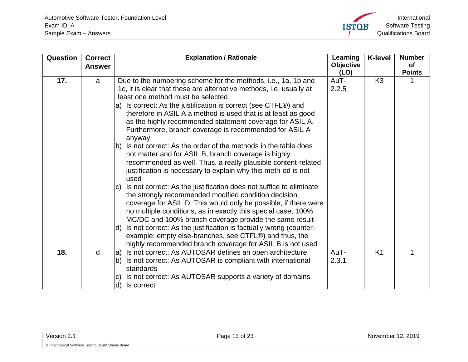<span id="page-12-1"></span><span id="page-12-0"></span>

| Question | <b>Correct</b><br><b>Answer</b> | <b>Explanation / Rationale</b>                                                                                                                                                                                                                                                                                                                                                                                                                                                                                                                                                                                                                                                                                                                                                                                                                                                                                                                                                                                                                                                                                                          | Learning<br><b>Objective</b><br>(LO) | <b>K-level</b> | <b>Number</b><br><b>of</b><br><b>Points</b> |
|----------|---------------------------------|-----------------------------------------------------------------------------------------------------------------------------------------------------------------------------------------------------------------------------------------------------------------------------------------------------------------------------------------------------------------------------------------------------------------------------------------------------------------------------------------------------------------------------------------------------------------------------------------------------------------------------------------------------------------------------------------------------------------------------------------------------------------------------------------------------------------------------------------------------------------------------------------------------------------------------------------------------------------------------------------------------------------------------------------------------------------------------------------------------------------------------------------|--------------------------------------|----------------|---------------------------------------------|
| 17.      | a                               | Due to the numbering scheme for the methods, i.e., 1a, 1b and<br>1c, it is clear that these are alternative methods, i.e. usually at<br>least one method must be selected.<br>a) Is correct: As the justification is correct (see CTFL®) and<br>therefore in ASIL A a method is used that is at least as good<br>as the highly recommended statement coverage for ASIL A.<br>Furthermore, branch coverage is recommended for ASIL A<br>anyway<br>Is not correct: As the order of the methods in the table does<br>lb).<br>not matter and for ASIL B, branch coverage is highly<br>recommended as well. Thus, a really plausible content-related<br>justification is necessary to explain why this meth-od is not<br>used<br>Is not correct: As the justification does not suffice to eliminate<br>IC)<br>the strongly recommended modified condition decision<br>coverage for ASIL D. This would only be possible, if there were<br>no multiple conditions, as in exactly this special case, 100%<br>MC/DC and 100% branch coverage provide the same result<br>Is not correct: As the justification is factually wrong (counter-<br>ld) | AuT-<br>2.2.5                        | K <sub>3</sub> |                                             |
|          |                                 | example: empty else-branches, see CTFL®) and thus, the<br>highly recommended branch coverage for ASIL B is not used                                                                                                                                                                                                                                                                                                                                                                                                                                                                                                                                                                                                                                                                                                                                                                                                                                                                                                                                                                                                                     |                                      |                |                                             |
| 18.      | d                               | Is not correct: As AUTOSAR defines an open architecture<br>la)<br>Is not correct: As AUTOSAR is compliant with international<br>lb)<br>standards<br>Is not correct: As AUTOSAR supports a variety of domains<br>IC)<br>Is correct<br>ld)                                                                                                                                                                                                                                                                                                                                                                                                                                                                                                                                                                                                                                                                                                                                                                                                                                                                                                | AuT-<br>2.3.1                        | K <sub>1</sub> |                                             |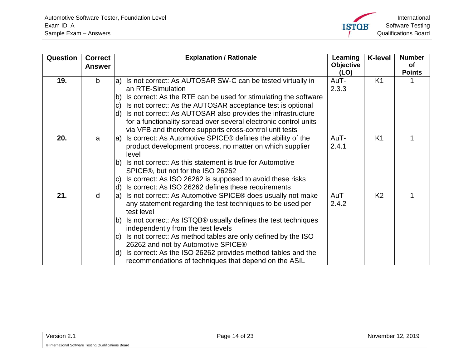

<span id="page-13-2"></span><span id="page-13-1"></span><span id="page-13-0"></span>

| Question | <b>Correct</b><br><b>Answer</b> | <b>Explanation / Rationale</b>                                                         | Learning<br><b>Objective</b><br>(LO) | <b>K-level</b> | <b>Number</b><br><b>of</b><br><b>Points</b> |
|----------|---------------------------------|----------------------------------------------------------------------------------------|--------------------------------------|----------------|---------------------------------------------|
| 19.      | $\mathsf{b}$                    | Is not correct: As AUTOSAR SW-C can be tested virtually in<br>la)<br>an RTE-Simulation | AuT-<br>2.3.3                        | K <sub>1</sub> |                                             |
|          |                                 | Is correct: As the RTE can be used for stimulating the software<br>lb)                 |                                      |                |                                             |
|          |                                 | Is not correct: As the AUTOSAR acceptance test is optional<br>$\vert$ C)               |                                      |                |                                             |
|          |                                 | Is not correct: As AUTOSAR also provides the infrastructure<br>ld)                     |                                      |                |                                             |
|          |                                 | for a functionality spread over several electronic control units                       |                                      |                |                                             |
|          |                                 | via VFB and therefore supports cross-control unit tests                                |                                      |                |                                             |
| 20.      | a                               | Is correct: As Automotive SPICE® defines the ability of the<br>la)                     | AuT-                                 | K <sub>1</sub> |                                             |
|          |                                 | product development process, no matter on which supplier                               | 2.4.1                                |                |                                             |
|          |                                 | level                                                                                  |                                      |                |                                             |
|          |                                 | Is not correct: As this statement is true for Automotive<br>lb)                        |                                      |                |                                             |
|          |                                 | SPICE®, but not for the ISO 26262                                                      |                                      |                |                                             |
|          |                                 | Is correct: As ISO 26262 is supposed to avoid these risks<br>$ {\rm C} $               |                                      |                |                                             |
|          |                                 | Is correct: As ISO 26262 defines these requirements<br>ld)                             |                                      |                |                                             |
| 21.      | $\mathsf{d}$                    | Is not correct: As Automotive SPICE® does usually not make<br>la)                      | AuT-                                 | K <sub>2</sub> | 1                                           |
|          |                                 | any statement regarding the test techniques to be used per<br>test level               | 2.4.2                                |                |                                             |
|          |                                 | Is not correct: As ISTQB® usually defines the test techniques<br>$ b\rangle$           |                                      |                |                                             |
|          |                                 | independently from the test levels                                                     |                                      |                |                                             |
|          |                                 | Is not correct: As method tables are only defined by the ISO<br>$\mathbf{C}$           |                                      |                |                                             |
|          |                                 | 26262 and not by Automotive SPICE®                                                     |                                      |                |                                             |
|          |                                 | Is correct: As the ISO 26262 provides method tables and the<br>ld)                     |                                      |                |                                             |
|          |                                 | recommendations of techniques that depend on the ASIL                                  |                                      |                |                                             |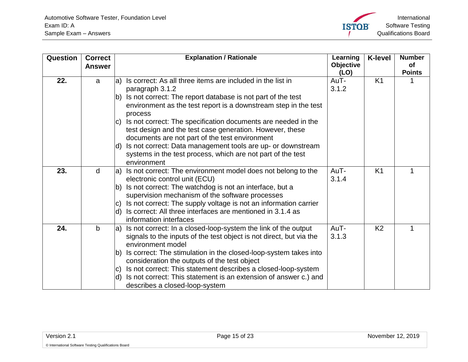<span id="page-14-2"></span><span id="page-14-1"></span><span id="page-14-0"></span>

| Question | <b>Correct</b><br><b>Answer</b> |             | <b>Explanation / Rationale</b>                                                                             | Learning<br><b>Objective</b> | <b>K-level</b> | <b>Number</b><br>of |
|----------|---------------------------------|-------------|------------------------------------------------------------------------------------------------------------|------------------------------|----------------|---------------------|
|          |                                 |             |                                                                                                            | (LO)                         |                | <b>Points</b>       |
| 22.      | a                               | la)         | Is correct: As all three items are included in the list in                                                 | AuT-                         | K <sub>1</sub> |                     |
|          |                                 |             | paragraph 3.1.2                                                                                            | 3.1.2                        |                |                     |
|          |                                 | lb)         | Is not correct: The report database is not part of the test                                                |                              |                |                     |
|          |                                 |             | environment as the test report is a downstream step in the test                                            |                              |                |                     |
|          |                                 |             | process                                                                                                    |                              |                |                     |
|          |                                 | IC)         | Is not correct: The specification documents are needed in the                                              |                              |                |                     |
|          |                                 |             | test design and the test case generation. However, these                                                   |                              |                |                     |
|          |                                 |             | documents are not part of the test environment                                                             |                              |                |                     |
|          |                                 | d)          | Is not correct: Data management tools are up- or downstream                                                |                              |                |                     |
|          |                                 |             | systems in the test process, which are not part of the test                                                |                              |                |                     |
|          |                                 |             | environment                                                                                                |                              |                |                     |
| 23.      | d                               | $ a\rangle$ | Is not correct: The environment model does not belong to the                                               | AuT-                         | K <sub>1</sub> |                     |
|          |                                 |             | electronic control unit (ECU)                                                                              | 3.1.4                        |                |                     |
|          |                                 | lb)         | Is not correct: The watchdog is not an interface, but a<br>supervision mechanism of the software processes |                              |                |                     |
|          |                                 | $ C\rangle$ | Is not correct: The supply voltage is not an information carrier                                           |                              |                |                     |
|          |                                 | ld)         | Is correct: All three interfaces are mentioned in 3.1.4 as                                                 |                              |                |                     |
|          |                                 |             | information interfaces                                                                                     |                              |                |                     |
| 24.      | $\mathsf{b}$                    | la)         | Is not correct: In a closed-loop-system the link of the output                                             | AuT-                         | K <sub>2</sub> |                     |
|          |                                 |             | signals to the inputs of the test object is not direct, but via the                                        | 3.1.3                        |                |                     |
|          |                                 |             | environment model                                                                                          |                              |                |                     |
|          |                                 | lb)         | Is correct: The stimulation in the closed-loop-system takes into                                           |                              |                |                     |
|          |                                 |             | consideration the outputs of the test object                                                               |                              |                |                     |
|          |                                 | IC)         | Is not correct: This statement describes a closed-loop-system                                              |                              |                |                     |
|          |                                 | ld)         | Is not correct: This statement is an extension of answer c.) and                                           |                              |                |                     |
|          |                                 |             | describes a closed-loop-system                                                                             |                              |                |                     |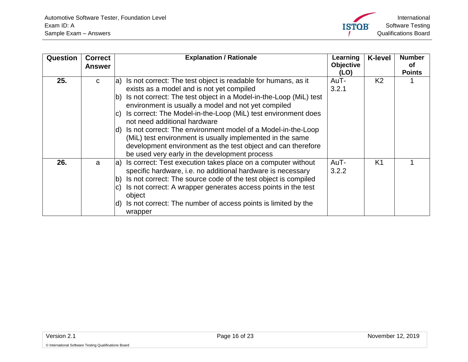<span id="page-15-1"></span><span id="page-15-0"></span>

| <b>Question</b> | <b>Correct</b><br><b>Answer</b> | <b>Explanation / Rationale</b>                                                                                                                                                                                                                                                                                                                                                                                                                                                                                                                                                                           | Learning<br>Objective<br>(LO) | <b>K-level</b> | <b>Number</b><br><b>of</b><br><b>Points</b> |
|-----------------|---------------------------------|----------------------------------------------------------------------------------------------------------------------------------------------------------------------------------------------------------------------------------------------------------------------------------------------------------------------------------------------------------------------------------------------------------------------------------------------------------------------------------------------------------------------------------------------------------------------------------------------------------|-------------------------------|----------------|---------------------------------------------|
| 25.             | C                               | a) Is not correct: The test object is readable for humans, as it<br>exists as a model and is not yet compiled<br>Is not correct: The test object in a Model-in-the-Loop (MiL) test<br>lb)<br>environment is usually a model and not yet compiled<br>Is correct: The Model-in-the-Loop (MiL) test environment does<br>C)<br>not need additional hardware<br>d) Is not correct: The environment model of a Model-in-the-Loop<br>(MiL) test environment is usually implemented in the same<br>development environment as the test object and can therefore<br>be used very early in the development process | AuT-<br>3.2.1                 | K <sub>2</sub> |                                             |
| 26.             | a                               | Is correct: Test execution takes place on a computer without<br>la)<br>specific hardware, i.e. no additional hardware is necessary<br>Is not correct: The source code of the test object is compiled<br>$\mathsf{b}$<br>Is not correct: A wrapper generates access points in the test<br>C)<br>object<br>Is not correct: The number of access points is limited by the<br>ld)<br>wrapper                                                                                                                                                                                                                 | AuT-<br>3.2.2                 | K <sub>1</sub> |                                             |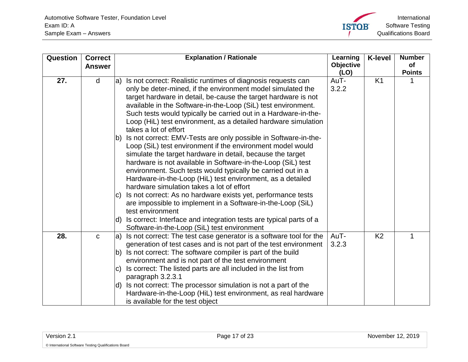

<span id="page-16-1"></span><span id="page-16-0"></span>

| Question | <b>Correct</b> |     | <b>Explanation / Rationale</b>                                     | Learning  | <b>K-level</b> | <b>Number</b> |
|----------|----------------|-----|--------------------------------------------------------------------|-----------|----------------|---------------|
|          | <b>Answer</b>  |     |                                                                    | Objective |                | <b>of</b>     |
|          |                |     |                                                                    | (LO)      |                | <b>Points</b> |
| 27.      | d              |     | a) Is not correct: Realistic runtimes of diagnosis requests can    | AuT-      | K <sub>1</sub> |               |
|          |                |     | only be deter-mined, if the environment model simulated the        | 3.2.2     |                |               |
|          |                |     | target hardware in detail, be-cause the target hardware is not     |           |                |               |
|          |                |     | available in the Software-in-the-Loop (SiL) test environment.      |           |                |               |
|          |                |     | Such tests would typically be carried out in a Hardware-in-the-    |           |                |               |
|          |                |     | Loop (HiL) test environment, as a detailed hardware simulation     |           |                |               |
|          |                |     | takes a lot of effort                                              |           |                |               |
|          |                | lb) | Is not correct: EMV-Tests are only possible in Software-in-the-    |           |                |               |
|          |                |     | Loop (SiL) test environment if the environment model would         |           |                |               |
|          |                |     | simulate the target hardware in detail, because the target         |           |                |               |
|          |                |     | hardware is not available in Software-in-the-Loop (SiL) test       |           |                |               |
|          |                |     | environment. Such tests would typically be carried out in a        |           |                |               |
|          |                |     | Hardware-in-the-Loop (HiL) test environment, as a detailed         |           |                |               |
|          |                |     | hardware simulation takes a lot of effort                          |           |                |               |
|          |                | IC) | Is not correct: As no hardware exists yet, performance tests       |           |                |               |
|          |                |     | are impossible to implement in a Software-in-the-Loop (SiL)        |           |                |               |
|          |                |     | test environment                                                   |           |                |               |
|          |                | ld) | Is correct: Interface and integration tests are typical parts of a |           |                |               |
|          |                |     | Software-in-the-Loop (SiL) test environment                        |           |                |               |
| 28.      | $\mathbf C$    | la) | Is not correct: The test case generator is a software tool for the | AuT-      | K <sub>2</sub> | 1             |
|          |                |     | generation of test cases and is not part of the test environment   | 3.2.3     |                |               |
|          |                | lb) | Is not correct: The software compiler is part of the build         |           |                |               |
|          |                |     | environment and is not part of the test environment                |           |                |               |
|          |                | IC) | Is correct: The listed parts are all included in the list from     |           |                |               |
|          |                |     | paragraph 3.2.3.1                                                  |           |                |               |
|          |                |     | d) Is not correct: The processor simulation is not a part of the   |           |                |               |
|          |                |     | Hardware-in-the-Loop (HiL) test environment, as real hardware      |           |                |               |
|          |                |     | is available for the test object                                   |           |                |               |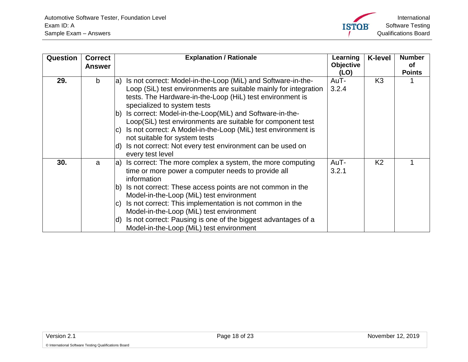<span id="page-17-1"></span><span id="page-17-0"></span>

| Question | <b>Correct</b> | <b>Explanation / Rationale</b>                                       | Learning         | <b>K-level</b> | <b>Number</b> |
|----------|----------------|----------------------------------------------------------------------|------------------|----------------|---------------|
|          | <b>Answer</b>  |                                                                      | <b>Objective</b> |                | οf            |
|          |                |                                                                      | (LO)             |                | <b>Points</b> |
| 29.      | b              | Is not correct: Model-in-the-Loop (MiL) and Software-in-the-<br>la)  | AuT-             | K <sub>3</sub> |               |
|          |                | Loop (SiL) test environments are suitable mainly for integration     | 3.2.4            |                |               |
|          |                | tests. The Hardware-in-the-Loop (HiL) test environment is            |                  |                |               |
|          |                | specialized to system tests                                          |                  |                |               |
|          |                | Is correct: Model-in-the-Loop(MiL) and Software-in-the-<br>lb)       |                  |                |               |
|          |                | Loop(SiL) test environments are suitable for component test          |                  |                |               |
|          |                | Is not correct: A Model-in-the-Loop (MiL) test environment is<br>IC) |                  |                |               |
|          |                | not suitable for system tests                                        |                  |                |               |
|          |                | Is not correct: Not every test environment can be used on<br>ld)     |                  |                |               |
|          |                | every test level                                                     |                  |                |               |
| 30.      | a              | Is correct: The more complex a system, the more computing<br>la)     | AuT-             | K <sub>2</sub> |               |
|          |                | time or more power a computer needs to provide all                   | 3.2.1            |                |               |
|          |                | information                                                          |                  |                |               |
|          |                | Is not correct: These access points are not common in the<br>lb)     |                  |                |               |
|          |                | Model-in-the-Loop (MiL) test environment                             |                  |                |               |
|          |                | Is not correct: This implementation is not common in the<br>lc)      |                  |                |               |
|          |                | Model-in-the-Loop (MiL) test environment                             |                  |                |               |
|          |                | Is not correct: Pausing is one of the biggest advantages of a<br>ld) |                  |                |               |
|          |                | Model-in-the-Loop (MiL) test environment                             |                  |                |               |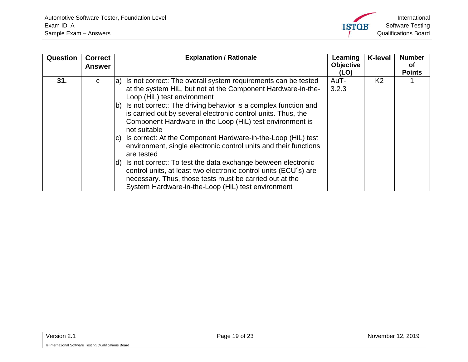

<span id="page-18-0"></span>

| Question | <b>Correct</b><br><b>Answer</b> | <b>Explanation / Rationale</b>                                                                                                                                                                                                                                                                                                                                                                                                                                                                                                                                                                                                                                                                                                                                                                                      | Learning<br><b>Objective</b><br>(LO) | <b>K-level</b> | <b>Number</b><br>Οf<br><b>Points</b> |
|----------|---------------------------------|---------------------------------------------------------------------------------------------------------------------------------------------------------------------------------------------------------------------------------------------------------------------------------------------------------------------------------------------------------------------------------------------------------------------------------------------------------------------------------------------------------------------------------------------------------------------------------------------------------------------------------------------------------------------------------------------------------------------------------------------------------------------------------------------------------------------|--------------------------------------|----------------|--------------------------------------|
| 31.      | C                               | a) Is not correct: The overall system requirements can be tested<br>at the system HiL, but not at the Component Hardware-in-the-<br>Loop (HiL) test environment<br>Is not correct: The driving behavior is a complex function and<br>lb)<br>is carried out by several electronic control units. Thus, the<br>Component Hardware-in-the-Loop (HiL) test environment is<br>not suitable<br>Is correct: At the Component Hardware-in-the-Loop (HiL) test<br>$\mathbf{C}$<br>environment, single electronic control units and their functions<br>are tested<br>Is not correct: To test the data exchange between electronic<br>ld)<br>control units, at least two electronic control units (ECU's) are<br>necessary. Thus, those tests must be carried out at the<br>System Hardware-in-the-Loop (HiL) test environment | AuT-<br>3.2.3                        | K <sub>2</sub> |                                      |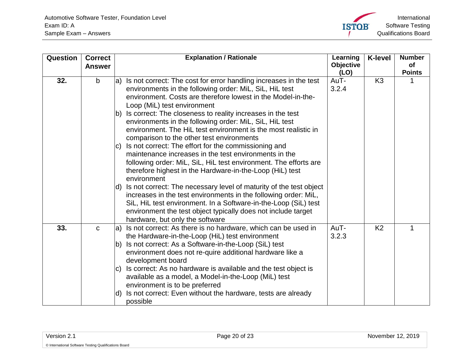

<span id="page-19-1"></span><span id="page-19-0"></span>

| Question | <b>Correct</b> | <b>Explanation / Rationale</b>                                                                                                                                                                                                                                                                                           | Learning          | <b>K-level</b> | <b>Number</b>              |
|----------|----------------|--------------------------------------------------------------------------------------------------------------------------------------------------------------------------------------------------------------------------------------------------------------------------------------------------------------------------|-------------------|----------------|----------------------------|
|          | <b>Answer</b>  |                                                                                                                                                                                                                                                                                                                          | Objective<br>(LO) |                | <b>of</b><br><b>Points</b> |
| 32.      | $\mathsf{b}$   | $ a\rangle$ Is not correct: The cost for error handling increases in the test<br>environments in the following order: MiL, SiL, HiL test<br>environment. Costs are therefore lowest in the Model-in-the-<br>Loop (MiL) test environment                                                                                  | AuT-<br>3.2.4     | K <sub>3</sub> |                            |
|          |                | Is correct: The closeness to reality increases in the test<br>lb)<br>environments in the following order: MiL, SiL, HiL test<br>environment. The HiL test environment is the most realistic in<br>comparison to the other test environments                                                                              |                   |                |                            |
|          |                | Is not correct: The effort for the commissioning and<br>IC)<br>maintenance increases in the test environments in the<br>following order: MiL, SiL, HiL test environment. The efforts are<br>therefore highest in the Hardware-in-the-Loop (HiL) test<br>environment                                                      |                   |                |                            |
|          |                | $ d\rangle$ Is not correct: The necessary level of maturity of the test object<br>increases in the test environments in the following order: MiL,<br>SiL, HiL test environment. In a Software-in-the-Loop (SiL) test<br>environment the test object typically does not include target<br>hardware, but only the software |                   |                |                            |
| 33.      | $\mathbf C$    | a) Is not correct: As there is no hardware, which can be used in<br>the Hardware-in-the-Loop (HiL) test environment                                                                                                                                                                                                      | AuT-<br>3.2.3     | K <sub>2</sub> | 1                          |
|          |                | Is not correct: As a Software-in-the-Loop (SiL) test<br>lb)<br>environment does not re-quire additional hardware like a<br>development board                                                                                                                                                                             |                   |                |                            |
|          |                | Is correct: As no hardware is available and the test object is<br>IC)<br>available as a model, a Model-in-the-Loop (MiL) test<br>environment is to be preferred                                                                                                                                                          |                   |                |                            |
|          |                | Is not correct: Even without the hardware, tests are already<br>ld)<br>possible                                                                                                                                                                                                                                          |                   |                |                            |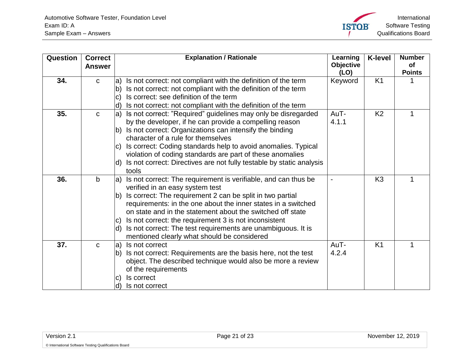<span id="page-20-3"></span><span id="page-20-2"></span><span id="page-20-1"></span><span id="page-20-0"></span>

| Question | <b>Correct</b><br><b>Answer</b> | <b>Explanation / Rationale</b>                                                                                                                                                                  | Learning<br><b>Objective</b> | <b>K-level</b> | <b>Number</b><br><b>of</b> |
|----------|---------------------------------|-------------------------------------------------------------------------------------------------------------------------------------------------------------------------------------------------|------------------------------|----------------|----------------------------|
| 34.      | $\mathbf C$                     | Is not correct: not compliant with the definition of the term<br>la)                                                                                                                            | (LO)<br>Keyword              | K <sub>1</sub> | <b>Points</b>              |
|          |                                 | Is not correct: not compliant with the definition of the term<br>lb)<br>Is correct: see definition of the term<br>$\mathbf{C}$                                                                  |                              |                |                            |
|          |                                 | Is not correct: not compliant with the definition of the term<br>d)                                                                                                                             |                              |                |                            |
| 35.      | $\mathbf C$                     | Is not correct: "Required" guidelines may only be disregarded<br>la)<br>by the developer, if he can provide a compelling reason                                                                 | AuT-<br>4.1.1                | K <sub>2</sub> |                            |
|          |                                 | Is not correct: Organizations can intensify the binding<br>character of a rule for themselves                                                                                                   |                              |                |                            |
|          |                                 | c) Is correct: Coding standards help to avoid anomalies. Typical<br>violation of coding standards are part of these anomalies                                                                   |                              |                |                            |
|          |                                 | Is not correct: Directives are not fully testable by static analysis<br>ld)<br>tools                                                                                                            |                              |                |                            |
| 36.      | $\mathbf b$                     | Is not correct: The requirement is verifiable, and can thus be<br>la)<br>verified in an easy system test                                                                                        |                              | K <sub>3</sub> |                            |
|          |                                 | Is correct: The requirement 2 can be split in two partial<br>lb)<br>requirements: in the one about the inner states in a switched<br>on state and in the statement about the switched off state |                              |                |                            |
|          |                                 | Is not correct: the requirement 3 is not inconsistent<br>IC)                                                                                                                                    |                              |                |                            |
|          |                                 | Is not correct: The test requirements are unambiguous. It is<br>ld)<br>mentioned clearly what should be considered                                                                              |                              |                |                            |
| 37.      | $\mathbf C$                     | Is not correct<br>la)<br>Is not correct: Requirements are the basis here, not the test<br>lb)<br>object. The described technique would also be more a review                                    | AuT-<br>4.2.4                | K <sub>1</sub> | 1                          |
|          |                                 | of the requirements                                                                                                                                                                             |                              |                |                            |
|          |                                 | Is correct<br>$\vert$ C)<br>Is not correct<br>d)                                                                                                                                                |                              |                |                            |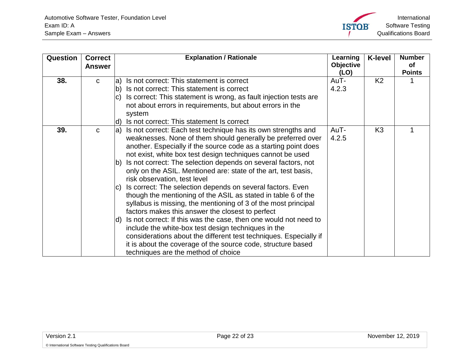

<span id="page-21-1"></span><span id="page-21-0"></span>

| Question | <b>Correct</b><br><b>Answer</b> | <b>Explanation / Rationale</b>                                                                                                                                                                                                                                                                                                                                                                                                                                                                                                                                                                                                                                                                                             | Learning<br>Objective<br>(LO) | <b>K-level</b> | <b>Number</b><br><b>of</b><br><b>Points</b> |
|----------|---------------------------------|----------------------------------------------------------------------------------------------------------------------------------------------------------------------------------------------------------------------------------------------------------------------------------------------------------------------------------------------------------------------------------------------------------------------------------------------------------------------------------------------------------------------------------------------------------------------------------------------------------------------------------------------------------------------------------------------------------------------------|-------------------------------|----------------|---------------------------------------------|
| 38.      | C                               | Is not correct: This statement is correct<br>$ a\rangle$                                                                                                                                                                                                                                                                                                                                                                                                                                                                                                                                                                                                                                                                   | AuT-                          | K <sub>2</sub> |                                             |
|          |                                 | Is not correct: This statement is correct<br> b)<br>Is correct: This statement is wrong, as fault injection tests are                                                                                                                                                                                                                                                                                                                                                                                                                                                                                                                                                                                                      | 4.2.3                         |                |                                             |
|          |                                 | IC)<br>not about errors in requirements, but about errors in the                                                                                                                                                                                                                                                                                                                                                                                                                                                                                                                                                                                                                                                           |                               |                |                                             |
|          |                                 | system                                                                                                                                                                                                                                                                                                                                                                                                                                                                                                                                                                                                                                                                                                                     |                               |                |                                             |
|          |                                 | Is not correct: This statement Is correct<br>(d                                                                                                                                                                                                                                                                                                                                                                                                                                                                                                                                                                                                                                                                            |                               |                |                                             |
| 39.      | C                               | Is not correct: Each test technique has its own strengths and<br>$ a\rangle$<br>weaknesses. None of them should generally be preferred over<br>another. Especially if the source code as a starting point does<br>not exist, white box test design techniques cannot be used<br>Is not correct: The selection depends on several factors, not<br>$ b\rangle$<br>only on the ASIL. Mentioned are: state of the art, test basis,<br>risk observation, test level<br>Is correct: The selection depends on several factors. Even<br>IC)<br>though the mentioning of the ASIL as stated in table 6 of the<br>syllabus is missing, the mentioning of 3 of the most principal<br>factors makes this answer the closest to perfect | AuT-<br>4.2.5                 | K <sub>3</sub> |                                             |
|          |                                 | Is not correct: If this was the case, then one would not need to<br>Id)<br>include the white-box test design techniques in the<br>considerations about the different test techniques. Especially if<br>it is about the coverage of the source code, structure based<br>techniques are the method of choice                                                                                                                                                                                                                                                                                                                                                                                                                 |                               |                |                                             |